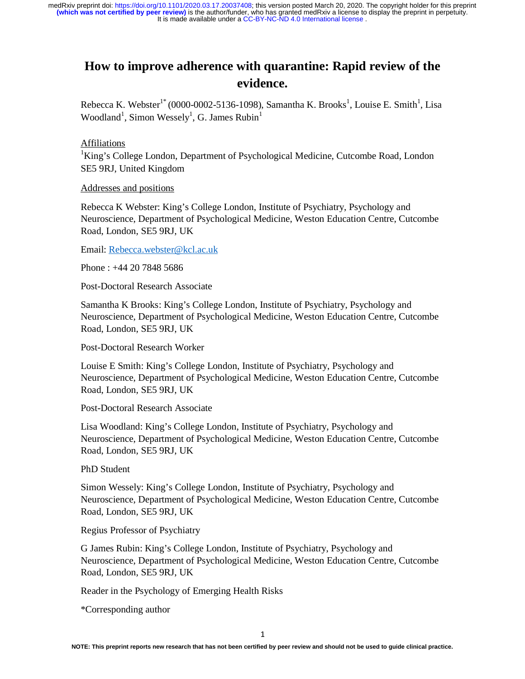# **How to improve adherence with quarantine: Rapid review of the evidence.**

Rebecca K. Webster<sup>1\*</sup> (0000-0002-5136-1098), Samantha K. Brooks<sup>1</sup>, Louise E. Smith<sup>1</sup>, Lisa Woodland<sup>1</sup>, Simon Wessely<sup>1</sup>, G. James Rubin<sup>1</sup>

# Affiliations

<sup>1</sup>King's College London, Department of Psychological Medicine, Cutcombe Road, London SE5 9RJ, United Kingdom

# Addresses and positions

Rebecca K Webster: King's College London, Institute of Psychiatry, Psychology and Neuroscience, Department of Psychological Medicine, Weston Education Centre, Cutcombe Road, London, SE5 9RJ, UK

Email: Rebecca.webster@kcl.ac.uk

Phone : +44 20 7848 5686

Post-Doctoral Research Associate

Samantha K Brooks: King's College London, Institute of Psychiatry, Psychology and Neuroscience, Department of Psychological Medicine, Weston Education Centre, Cutcombe Road, London, SE5 9RJ, UK

Post-Doctoral Research Worker

Louise E Smith: King's College London, Institute of Psychiatry, Psychology and Neuroscience, Department of Psychological Medicine, Weston Education Centre, Cutcombe Road, London, SE5 9RJ, UK

Post-Doctoral Research Associate

Lisa Woodland: King's College London, Institute of Psychiatry, Psychology and Neuroscience, Department of Psychological Medicine, Weston Education Centre, Cutcombe Road, London, SE5 9RJ, UK

PhD Student

Simon Wessely: King's College London, Institute of Psychiatry, Psychology and Neuroscience, Department of Psychological Medicine, Weston Education Centre, Cutcombe Road, London, SE5 9RJ, UK

Regius Professor of Psychiatry

G James Rubin: King's College London, Institute of Psychiatry, Psychology and Neuroscience, Department of Psychological Medicine, Weston Education Centre, Cutcombe Road, London, SE5 9RJ, UK

Reader in the Psychology of Emerging Health Risks

\*Corresponding author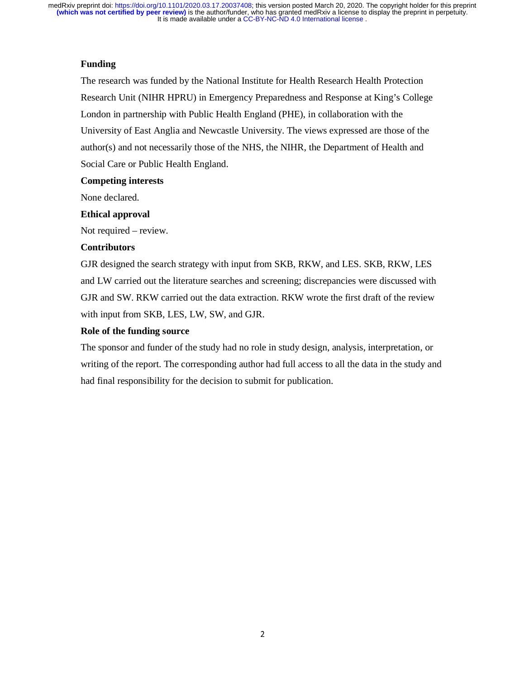# **Funding**

The research was funded by the National Institute for Health Research Health Protection Research Unit (NIHR HPRU) in Emergency Preparedness and Response at King's College London in partnership with Public Health England (PHE), in collaboration with the University of East Anglia and Newcastle University. The views expressed are those of the author(s) and not necessarily those of the NHS, the NIHR, the Department of Health and Social Care or Public Health England.

## **Competing interests**

None declared.

## **Ethical approval**

Not required – review.

## **Contributors**

GJR designed the search strategy with input from SKB, RKW, and LES. SKB, RKW, LES and LW carried out the literature searches and screening; discrepancies were discussed with GJR and SW. RKW carried out the data extraction. RKW wrote the first draft of the review with input from SKB, LES, LW, SW, and GJR.

# **Role of the funding source**

The sponsor and funder of the study had no role in study design, analysis, interpretation, or writing of the report. The corresponding author had full access to all the data in the study and had final responsibility for the decision to submit for publication.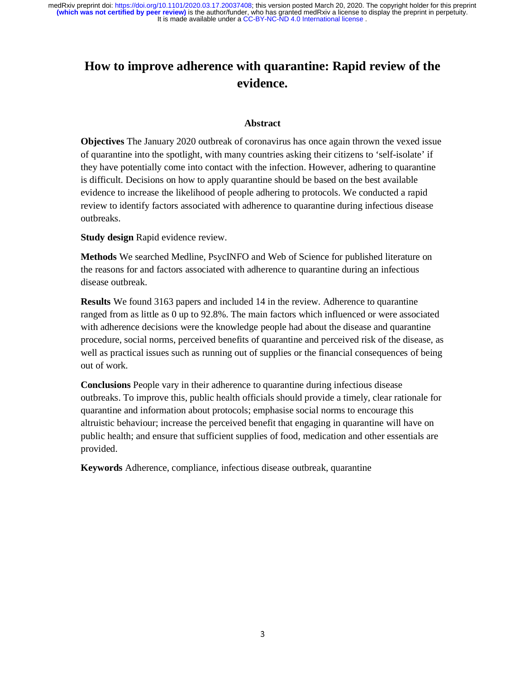# **How to improve adherence with quarantine: Rapid review of the evidence.**

## **Abstract**

**Objectives** The January 2020 outbreak of coronavirus has once again thrown the vexed issue of quarantine into the spotlight, with many countries asking their citizens to 'self-isolate' if they have potentially come into contact with the infection. However, adhering to quarantine is difficult. Decisions on how to apply quarantine should be based on the best available evidence to increase the likelihood of people adhering to protocols. We conducted a rapid review to identify factors associated with adherence to quarantine during infectious disease outbreaks.

**Study design** Rapid evidence review.

**Methods** We searched Medline, PsycINFO and Web of Science for published literature on the reasons for and factors associated with adherence to quarantine during an infectious disease outbreak.

**Results** We found 3163 papers and included 14 in the review. Adherence to quarantine ranged from as little as 0 up to 92.8%. The main factors which influenced or were associated with adherence decisions were the knowledge people had about the disease and quarantine procedure, social norms, perceived benefits of quarantine and perceived risk of the disease, as well as practical issues such as running out of supplies or the financial consequences of being out of work.

**Conclusions** People vary in their adherence to quarantine during infectious disease outbreaks. To improve this, public health officials should provide a timely, clear rationale for quarantine and information about protocols; emphasise social norms to encourage this altruistic behaviour; increase the perceived benefit that engaging in quarantine will have on public health; and ensure that sufficient supplies of food, medication and other essentials are provided.

**Keywords** Adherence, compliance, infectious disease outbreak, quarantine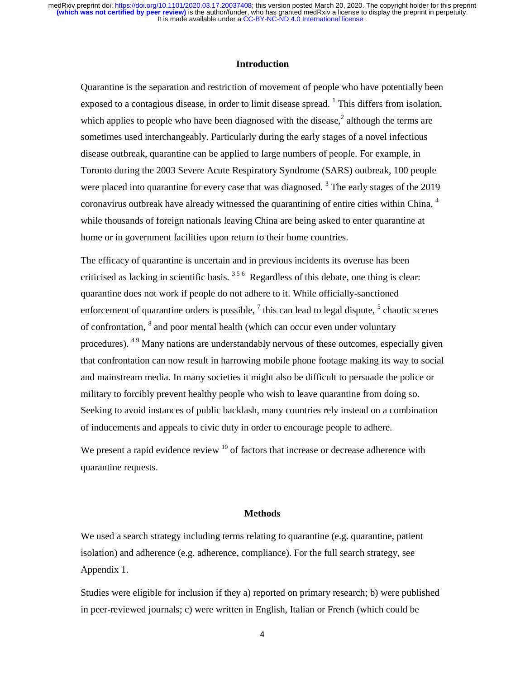# **Introduction**

Quarantine is the separation and restriction of movement of people who have potentially been exposed to a contagious disease, in order to limit disease spread.  $1$  This differs from isolation, which applies to people who have been diagnosed with the disease, $<sup>2</sup>$  although the terms are</sup> sometimes used interchangeably. Particularly during the early stages of a novel infectious disease outbreak, quarantine can be applied to large numbers of people. For example, in Toronto during the 2003 Severe Acute Respiratory Syndrome (SARS) outbreak, 100 people were placed into quarantine for every case that was diagnosed.<sup>3</sup> The early stages of the 2019 coronavirus outbreak have already witnessed the quarantining of entire cities within China, <sup>4</sup> while thousands of foreign nationals leaving China are being asked to enter quarantine at home or in government facilities upon return to their home countries.

The efficacy of quarantine is uncertain and in previous incidents its overuse has been criticised as lacking in scientific basis.  $356$  Regardless of this debate, one thing is clear: quarantine does not work if people do not adhere to it. While officially-sanctioned enforcement of quarantine orders is possible,  $\frac{7}{1}$  this can lead to legal dispute,  $\frac{5}{1}$  chaotic scenes of confrontation, <sup>8</sup> and poor mental health (which can occur even under voluntary procedures). <sup>49</sup> Many nations are understandably nervous of these outcomes, especially given that confrontation can now result in harrowing mobile phone footage making its way to social and mainstream media. In many societies it might also be difficult to persuade the police or military to forcibly prevent healthy people who wish to leave quarantine from doing so. Seeking to avoid instances of public backlash, many countries rely instead on a combination of inducements and appeals to civic duty in order to encourage people to adhere.

We present a rapid evidence review  $10$  of factors that increase or decrease adherence with quarantine requests.

#### **Methods**

We used a search strategy including terms relating to quarantine (e.g. quarantine, patient isolation) and adherence (e.g. adherence, compliance). For the full search strategy, see Appendix 1.

Studies were eligible for inclusion if they a) reported on primary research; b) were published in peer-reviewed journals; c) were written in English, Italian or French (which could be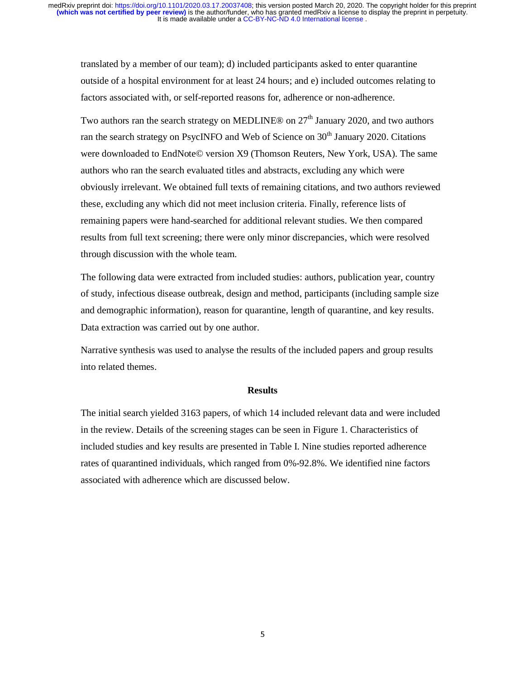translated by a member of our team); d) included participants asked to enter quarantine outside of a hospital environment for at least 24 hours; and e) included outcomes relating to factors associated with, or self-reported reasons for, adherence or non-adherence.

Two authors ran the search strategy on MEDLINE® on  $27<sup>th</sup>$  January 2020, and two authors ran the search strategy on PsycINFO and Web of Science on  $30<sup>th</sup>$  January 2020. Citations were downloaded to EndNote© version X9 (Thomson Reuters, New York, USA). The same authors who ran the search evaluated titles and abstracts, excluding any which were obviously irrelevant. We obtained full texts of remaining citations, and two authors reviewed these, excluding any which did not meet inclusion criteria. Finally, reference lists of remaining papers were hand-searched for additional relevant studies. We then compared results from full text screening; there were only minor discrepancies, which were resolved through discussion with the whole team.

The following data were extracted from included studies: authors, publication year, country of study, infectious disease outbreak, design and method, participants (including sample size and demographic information), reason for quarantine, length of quarantine, and key results. Data extraction was carried out by one author.

Narrative synthesis was used to analyse the results of the included papers and group results into related themes.

#### **Results**

The initial search yielded 3163 papers, of which 14 included relevant data and were included in the review. Details of the screening stages can be seen in Figure 1. Characteristics of included studies and key results are presented in Table I. Nine studies reported adherence rates of quarantined individuals, which ranged from 0%-92.8%. We identified nine factors associated with adherence which are discussed below.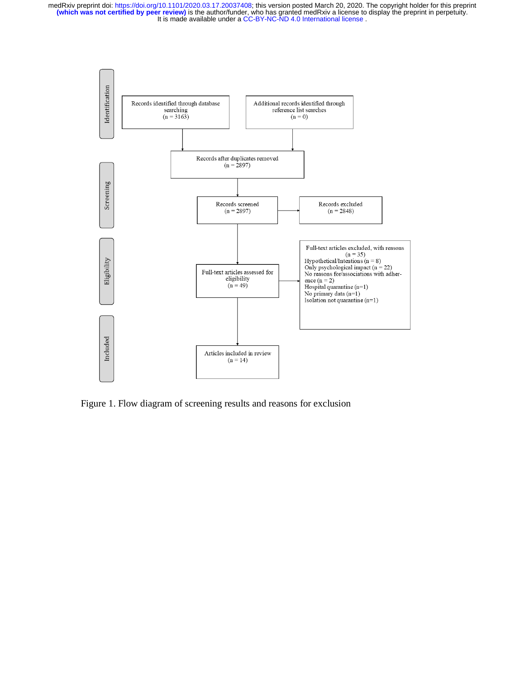

Figure 1. Flow diagram of screening results and reasons for exclusion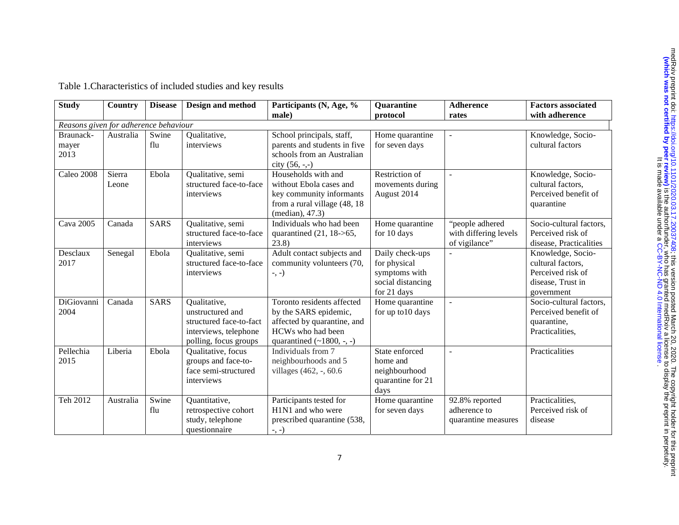| Table 1. Characteristics of included studies and key results |  |  |
|--------------------------------------------------------------|--|--|
|                                                              |  |  |

| <b>Study</b>                          | Country         | <b>Disease</b> | Design and method                                                                                             | Participants (N, Age, %                                                                                                                      | <b>Quarantine</b>                                                                    | <b>Adherence</b>                                          | <b>Factors associated</b>                                                                      |
|---------------------------------------|-----------------|----------------|---------------------------------------------------------------------------------------------------------------|----------------------------------------------------------------------------------------------------------------------------------------------|--------------------------------------------------------------------------------------|-----------------------------------------------------------|------------------------------------------------------------------------------------------------|
|                                       |                 |                |                                                                                                               | male)                                                                                                                                        | protocol                                                                             | rates                                                     | with adherence                                                                                 |
| Reasons given for adherence behaviour |                 |                |                                                                                                               |                                                                                                                                              |                                                                                      |                                                           |                                                                                                |
| Braunack-<br>mayer<br>2013            | Australia       | Swine<br>flu   | Qualitative,<br>interviews                                                                                    | School principals, staff,<br>parents and students in five<br>schools from an Australian<br>city $(56, -,-)$                                  | Home quarantine<br>for seven days                                                    |                                                           | Knowledge, Socio-<br>cultural factors                                                          |
| Caleo 2008                            | Sierra<br>Leone | Ebola          | Qualitative, semi<br>structured face-to-face<br>interviews                                                    | Households with and<br>without Ebola cases and<br>key community informants<br>from a rural village (48, 18)<br>(median), 47.3)               | Restriction of<br>movements during<br>August 2014                                    | $\mathbf{r}$                                              | Knowledge, Socio-<br>cultural factors,<br>Perceived benefit of<br>quarantine                   |
| <b>Cava 2005</b>                      | Canada          | <b>SARS</b>    | Qualitative, semi<br>structured face-to-face<br>interviews                                                    | Individuals who had been<br>quarantined $(21, 18 \rightarrow 65,$<br>(23.8)                                                                  | Home quarantine<br>for 10 days                                                       | "people adhered<br>with differing levels<br>of vigilance" | Socio-cultural factors,<br>Perceived risk of<br>disease, Practicalities                        |
| Desclaux<br>2017                      | Senegal         | Ebola          | Qualitative, semi<br>structured face-to-face<br>interviews                                                    | Adult contact subjects and<br>community volunteers (70,<br>$-,-)$                                                                            | Daily check-ups<br>for physical<br>symptoms with<br>social distancing<br>for 21 days |                                                           | Knowledge, Socio-<br>cultural factors,<br>Perceived risk of<br>disease, Trust in<br>government |
| DiGiovanni<br>2004                    | Canada          | <b>SARS</b>    | Qualitative,<br>unstructured and<br>structured face-to-fact<br>interviews, telephone<br>polling, focus groups | Toronto residents affected<br>by the SARS epidemic,<br>affected by quarantine, and<br>HCWs who had been<br>quarantined $(\sim 1800, \ldots)$ | Home quarantine<br>for up to 10 days                                                 |                                                           | Socio-cultural factors,<br>Perceived benefit of<br>quarantine,<br>Practicalities,              |
| Pellechia<br>2015                     | Liberia         | Ebola          | Qualitative, focus<br>groups and face-to-<br>face semi-structured<br>interviews                               | Individuals from 7<br>neighbourhoods and 5<br>villages (462, -, 60.6)                                                                        | State enforced<br>home and<br>neighbourhood<br>quarantine for 21<br>days             |                                                           | Practicalities                                                                                 |
| Teh 2012                              | Australia       | Swine<br>flu   | Quantitative,<br>retrospective cohort<br>study, telephone<br>questionnaire                                    | Participants tested for<br>H1N1 and who were<br>prescribed quarantine (538,<br>$-$ , $-$ )                                                   | Home quarantine<br>for seven days                                                    | 92.8% reported<br>adherence to<br>quarantine measures     | Practicalities,<br>Perceived risk of<br>disease                                                |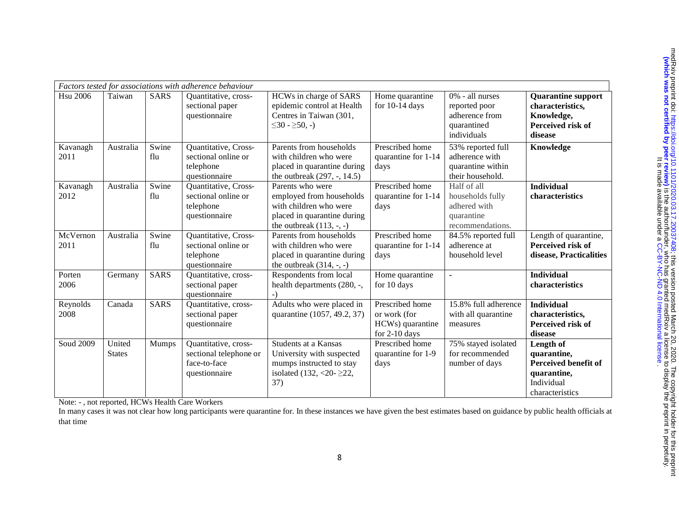|                  |                         |              | Factors tested for associations with adherence behaviour                        |                                                                                                                                     |                                                                      |                                                                                   |                                                                                                  |
|------------------|-------------------------|--------------|---------------------------------------------------------------------------------|-------------------------------------------------------------------------------------------------------------------------------------|----------------------------------------------------------------------|-----------------------------------------------------------------------------------|--------------------------------------------------------------------------------------------------|
| <b>Hsu 2006</b>  | Taiwan                  | <b>SARS</b>  | Quantitative, cross-<br>sectional paper<br>questionnaire                        | HCWs in charge of SARS<br>epidemic control at Health<br>Centres in Taiwan (301,<br>$\leq 30 - \geq 50, -$                           | Home quarantine<br>for $10-14$ days                                  | 0% - all nurses<br>reported poor<br>adherence from<br>quarantined<br>individuals  | <b>Quarantine support</b><br>characteristics,<br>Knowledge,<br>Perceived risk of<br>disease      |
| Kavanagh<br>2011 | Australia               | Swine<br>flu | Quantitative, Cross-<br>sectional online or<br>telephone<br>questionnaire       | Parents from households<br>with children who were<br>placed in quarantine during<br>the outbreak (297, -, 14.5)                     | Prescribed home<br>quarantine for 1-14<br>days                       | 53% reported full<br>adherence with<br>quarantine within<br>their household.      | Knowledge                                                                                        |
| Kavanagh<br>2012 | Australia               | Swine<br>flu | Quantitative, Cross-<br>sectional online or<br>telephone<br>questionnaire       | Parents who were<br>employed from households<br>with children who were<br>placed in quarantine during<br>the outbreak $(113, -, -)$ | Prescribed home<br>quarantine for 1-14<br>days                       | Half of all<br>households fully<br>adhered with<br>quarantine<br>recommendations. | <b>Individual</b><br>characteristics                                                             |
| McVernon<br>2011 | Australia               | Swine<br>flu | Quantitative, Cross-<br>sectional online or<br>telephone<br>questionnaire       | Parents from households<br>with children who were<br>placed in quarantine during<br>the outbreak $(314, -, -)$                      | Prescribed home<br>quarantine for 1-14<br>days                       | 84.5% reported full<br>adherence at<br>household level                            | Length of quarantine,<br>Perceived risk of<br>disease, Practicalities                            |
| Porten<br>2006   | Germany                 | <b>SARS</b>  | Quantitative, cross-<br>sectional paper<br>questionnaire                        | Respondents from local<br>health departments (280, -,                                                                               | Home quarantine<br>for 10 days                                       | $\blacksquare$                                                                    | <b>Individual</b><br>characteristics                                                             |
| Reynolds<br>2008 | Canada                  | <b>SARS</b>  | Quantitative, cross-<br>sectional paper<br>questionnaire                        | Adults who were placed in<br>quarantine (1057, 49.2, 37)                                                                            | Prescribed home<br>or work (for<br>HCWs) quarantine<br>for 2-10 days | 15.8% full adherence<br>with all quarantine<br>measures                           | <b>Individual</b><br>characteristics,<br>Perceived risk of<br>disease                            |
| Soud 2009        | United<br><b>States</b> | Mumps        | Quantitative, cross-<br>sectional telephone or<br>face-to-face<br>questionnaire | Students at a Kansas<br>University with suspected<br>mumps instructed to stay<br>isolated $(132, <20.222,$<br>37)                   | Prescribed home<br>quarantine for 1-9<br>days                        | 75% stayed isolated<br>for recommended<br>number of days                          | Length of<br>quarantine,<br>Perceived benefit of<br>quarantine,<br>Individual<br>characteristics |

Note: - , not reported, HCWs Health Care Workers

In many cases it was not clear how long participants were quarantine for. In these instances we have given the best estimates based on guidance by public health officials at that time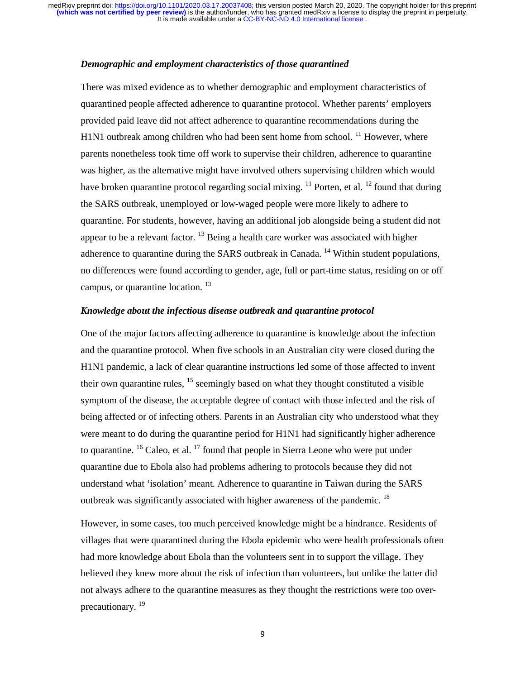## *Demographic and employment characteristics of those quarantined*

There was mixed evidence as to whether demographic and employment characteristics of quarantined people affected adherence to quarantine protocol. Whether parents' employers provided paid leave did not affect adherence to quarantine recommendations during the H1N1 outbreak among children who had been sent home from school.  $^{11}$  However, where parents nonetheless took time off work to supervise their children, adherence to quarantine was higher, as the alternative might have involved others supervising children which would have broken quarantine protocol regarding social mixing. <sup>11</sup> Porten, et al. <sup>12</sup> found that during the SARS outbreak, unemployed or low-waged people were more likely to adhere to quarantine. For students, however, having an additional job alongside being a student did not appear to be a relevant factor.  $^{13}$  Being a health care worker was associated with higher adherence to quarantine during the SARS outbreak in Canada.<sup>14</sup> Within student populations, no differences were found according to gender, age, full or part-time status, residing on or off campus, or quarantine location.<sup>13</sup>

# *Knowledge about the infectious disease outbreak and quarantine protocol*

One of the major factors affecting adherence to quarantine is knowledge about the infection and the quarantine protocol. When five schools in an Australian city were closed during the H1N1 pandemic, a lack of clear quarantine instructions led some of those affected to invent their own quarantine rules,  $^{15}$  seemingly based on what they thought constituted a visible symptom of the disease, the acceptable degree of contact with those infected and the risk of being affected or of infecting others. Parents in an Australian city who understood what they were meant to do during the quarantine period for H1N1 had significantly higher adherence to quarantine.  $^{16}$  Caleo, et al.  $^{17}$  found that people in Sierra Leone who were put under quarantine due to Ebola also had problems adhering to protocols because they did not understand what 'isolation' meant. Adherence to quarantine in Taiwan during the SARS outbreak was significantly associated with higher awareness of the pandemic.<sup>18</sup>

However, in some cases, too much perceived knowledge might be a hindrance. Residents of villages that were quarantined during the Ebola epidemic who were health professionals often had more knowledge about Ebola than the volunteers sent in to support the village. They believed they knew more about the risk of infection than volunteers, but unlike the latter did not always adhere to the quarantine measures as they thought the restrictions were too overprecautionary.<sup>19</sup>

9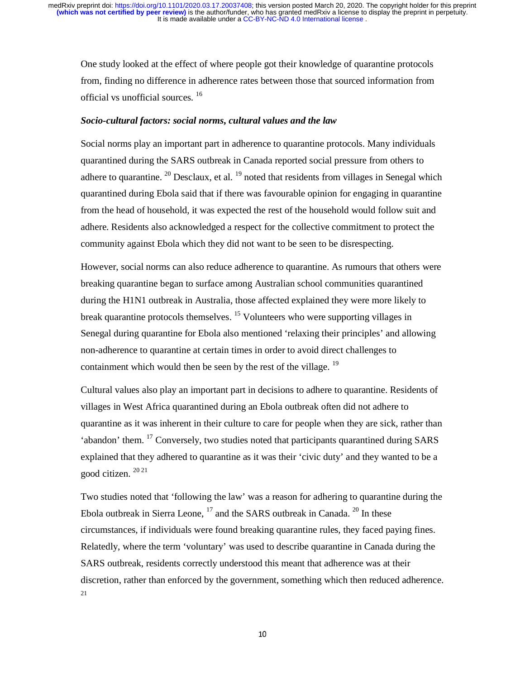One study looked at the effect of where people got their knowledge of quarantine protocols from, finding no difference in adherence rates between those that sourced information from official vs unofficial sources. <sup>16</sup>

#### *Socio-cultural factors: social norms, cultural values and the law*

Social norms play an important part in adherence to quarantine protocols. Many individuals quarantined during the SARS outbreak in Canada reported social pressure from others to adhere to quarantine.  $^{20}$  Desclaux, et al.  $^{19}$  noted that residents from villages in Senegal which quarantined during Ebola said that if there was favourable opinion for engaging in quarantine from the head of household, it was expected the rest of the household would follow suit and adhere. Residents also acknowledged a respect for the collective commitment to protect the community against Ebola which they did not want to be seen to be disrespecting.

However, social norms can also reduce adherence to quarantine. As rumours that others were breaking quarantine began to surface among Australian school communities quarantined during the H1N1 outbreak in Australia, those affected explained they were more likely to break quarantine protocols themselves. <sup>15</sup> Volunteers who were supporting villages in Senegal during quarantine for Ebola also mentioned 'relaxing their principles' and allowing non-adherence to quarantine at certain times in order to avoid direct challenges to containment which would then be seen by the rest of the village.<sup>19</sup>

Cultural values also play an important part in decisions to adhere to quarantine. Residents of villages in West Africa quarantined during an Ebola outbreak often did not adhere to quarantine as it was inherent in their culture to care for people when they are sick, rather than 'abandon' them. 17 Conversely, two studies noted that participants quarantined during SARS explained that they adhered to quarantine as it was their 'civic duty' and they wanted to be a good citizen. 20 21

Two studies noted that 'following the law' was a reason for adhering to quarantine during the Ebola outbreak in Sierra Leone,  $^{17}$  and the SARS outbreak in Canada.  $^{20}$  In these circumstances, if individuals were found breaking quarantine rules, they faced paying fines. Relatedly, where the term 'voluntary' was used to describe quarantine in Canada during the SARS outbreak, residents correctly understood this meant that adherence was at their discretion, rather than enforced by the government, something which then reduced adherence. 21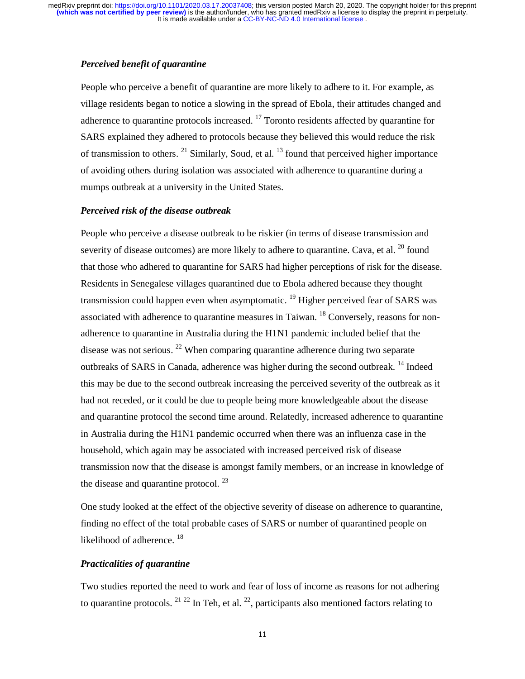## *Perceived benefit of quarantine*

People who perceive a benefit of quarantine are more likely to adhere to it. For example, as village residents began to notice a slowing in the spread of Ebola, their attitudes changed and adherence to quarantine protocols increased.  $^{17}$  Toronto residents affected by quarantine for SARS explained they adhered to protocols because they believed this would reduce the risk of transmission to others.  $^{21}$  Similarly, Soud, et al.  $^{13}$  found that perceived higher importance of avoiding others during isolation was associated with adherence to quarantine during a mumps outbreak at a university in the United States.

## *Perceived risk of the disease outbreak*

People who perceive a disease outbreak to be riskier (in terms of disease transmission and severity of disease outcomes) are more likely to adhere to quarantine. Cava, et al.  $^{20}$  found that those who adhered to quarantine for SARS had higher perceptions of risk for the disease. Residents in Senegalese villages quarantined due to Ebola adhered because they thought transmission could happen even when asymptomatic.<sup>19</sup> Higher perceived fear of SARS was associated with adherence to quarantine measures in Taiwan.  $^{18}$  Conversely, reasons for nonadherence to quarantine in Australia during the H1N1 pandemic included belief that the disease was not serious.  $^{22}$  When comparing quarantine adherence during two separate outbreaks of SARS in Canada, adherence was higher during the second outbreak. <sup>14</sup> Indeed this may be due to the second outbreak increasing the perceived severity of the outbreak as it had not receded, or it could be due to people being more knowledgeable about the disease and quarantine protocol the second time around. Relatedly, increased adherence to quarantine in Australia during the H1N1 pandemic occurred when there was an influenza case in the household, which again may be associated with increased perceived risk of disease transmission now that the disease is amongst family members, or an increase in knowledge of the disease and quarantine protocol.  $^{23}$ 

One study looked at the effect of the objective severity of disease on adherence to quarantine, finding no effect of the total probable cases of SARS or number of quarantined people on likelihood of adherence.<sup>18</sup>

## *Practicalities of quarantine*

Two studies reported the need to work and fear of loss of income as reasons for not adhering to quarantine protocols.  $21 \frac{22}{1}$  In Teh, et al.  $22$ , participants also mentioned factors relating to

11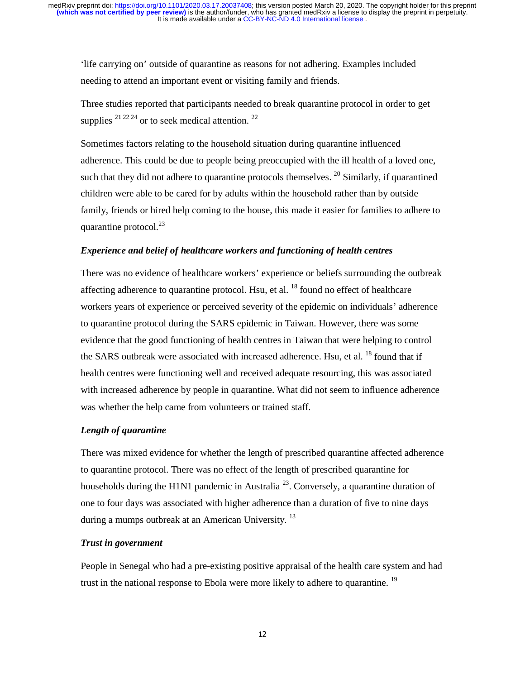'life carrying on' outside of quarantine as reasons for not adhering. Examples included needing to attend an important event or visiting family and friends.

Three studies reported that participants needed to break quarantine protocol in order to get supplies  $2^{12224}$  or to seek medical attention.  $2^2$ 

Sometimes factors relating to the household situation during quarantine influenced adherence. This could be due to people being preoccupied with the ill health of a loved one, such that they did not adhere to quarantine protocols themselves.  $^{20}$  Similarly, if quarantined children were able to be cared for by adults within the household rather than by outside family, friends or hired help coming to the house, this made it easier for families to adhere to quarantine protocol. $^{23}$ 

# *Experience and belief of healthcare workers and functioning of health centres*

There was no evidence of healthcare workers' experience or beliefs surrounding the outbreak affecting adherence to quarantine protocol. Hsu, et al.  $^{18}$  found no effect of healthcare workers years of experience or perceived severity of the epidemic on individuals' adherence to quarantine protocol during the SARS epidemic in Taiwan. However, there was some evidence that the good functioning of health centres in Taiwan that were helping to control the SARS outbreak were associated with increased adherence. Hsu, et al. <sup>18</sup> found that if health centres were functioning well and received adequate resourcing, this was associated with increased adherence by people in quarantine. What did not seem to influence adherence was whether the help came from volunteers or trained staff.

# *Length of quarantine*

There was mixed evidence for whether the length of prescribed quarantine affected adherence to quarantine protocol. There was no effect of the length of prescribed quarantine for households during the H1N1 pandemic in Australia<sup>23</sup>. Conversely, a quarantine duration of one to four days was associated with higher adherence than a duration of five to nine days during a mumps outbreak at an American University.<sup>13</sup>

## *Trust in government*

People in Senegal who had a pre-existing positive appraisal of the health care system and had trust in the national response to Ebola were more likely to adhere to quarantine.<sup>19</sup>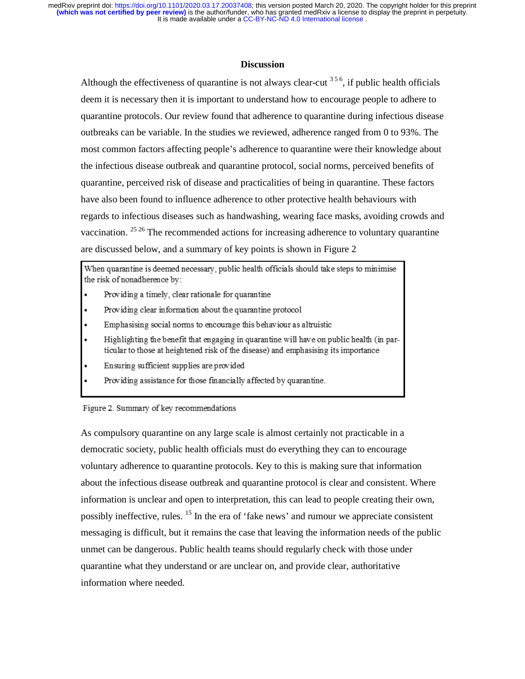## **Discussion**

Although the effectiveness of quarantine is not always clear-cut  $356$ , if public health officials deem it is necessary then it is important to understand how to encourage people to adhere to quarantine protocols. Our review found that adherence to quarantine during infectious disease outbreaks can be variable. In the studies we reviewed, adherence ranged from 0 to 93%. The most common factors affecting people's adherence to quarantine were their knowledge about the infectious disease outbreak and quarantine protocol, social norms, perceived benefits of quarantine, perceived risk of disease and practicalities of being in quarantine. These factors have also been found to influence adherence to other protective health behaviours with regards to infectious diseases such as handwashing, wearing face masks, avoiding crowds and vaccination. 25 26 The recommended actions for increasing adherence to voluntary quarantine are discussed below, and a summary of key points is shown in Figure 2

When quarantine is deemed necessary, public health officials should take steps to minimise the risk of nonadherence by:

- Providing a timely, clear rationale for quarantine
- Providing clear information about the quarantine protocol
- Emphasising social norms to encourage this behaviour as altruistic
- Highlighting the benefit that engaging in quarantine will have on public health (in particular to those at heightened risk of the disease) and emphasising its importance
- Ensuring sufficient supplies are provided
- Providing assistance for those financially affected by quarantine.

#### Figure 2. Summary of key recommendations

As compulsory quarantine on any large scale is almost certainly not practicable in a democratic society, public health officials must do everything they can to encourage voluntary adherence to quarantine protocols. Key to this is making sure that information about the infectious disease outbreak and quarantine protocol is clear and consistent. Where information is unclear and open to interpretation, this can lead to people creating their own, possibly ineffective, rules. 15 In the era of 'fake news' and rumour we appreciate consistent messaging is difficult, but it remains the case that leaving the information needs of the public unmet can be dangerous. Public health teams should regularly check with those under quarantine what they understand or are unclear on, and provide clear, authoritative information where needed.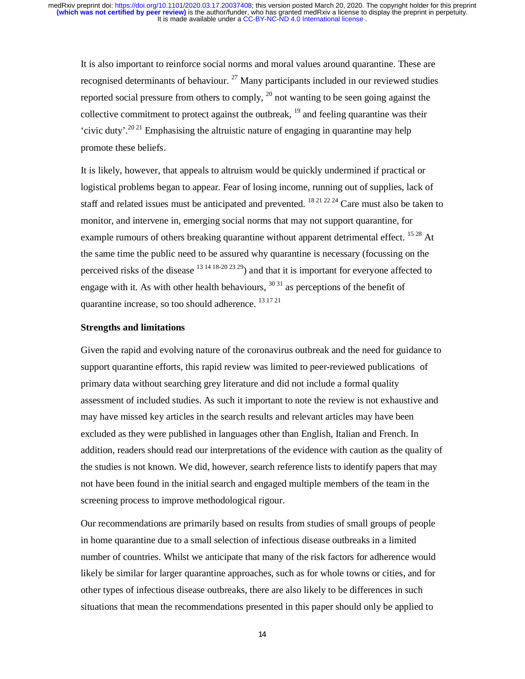It is also important to reinforce social norms and moral values around quarantine. These are recognised determinants of behaviour.  $^{27}$  Many participants included in our reviewed studies reported social pressure from others to comply,  $^{20}$  not wanting to be seen going against the collective commitment to protect against the outbreak,  $\frac{19}{2}$  and feeling quarantine was their 'civic duty'.<sup>2021</sup> Emphasising the altruistic nature of engaging in quarantine may help promote these beliefs.

It is likely, however, that appeals to altruism would be quickly undermined if practical or logistical problems began to appear. Fear of losing income, running out of supplies, lack of staff and related issues must be anticipated and prevented. <sup>18 21 22 24</sup> Care must also be taken to monitor, and intervene in, emerging social norms that may not support quarantine, for example rumours of others breaking quarantine without apparent detrimental effect. <sup>1528</sup> At the same time the public need to be assured why quarantine is necessary (focussing on the perceived risks of the disease  $13 \frac{14 \frac{18 \cdot 20}{23 \cdot 29}}{24}$  and that it is important for everyone affected to engage with it. As with other health behaviours,  $3031$  as perceptions of the benefit of quarantine increase, so too should adherence. 13 17 21

## **Strengths and limitations**

Given the rapid and evolving nature of the coronavirus outbreak and the need for guidance to support quarantine efforts, this rapid review was limited to peer-reviewed publications of primary data without searching grey literature and did not include a formal quality assessment of included studies. As such it important to note the review is not exhaustive and may have missed key articles in the search results and relevant articles may have been excluded as they were published in languages other than English, Italian and French. In addition, readers should read our interpretations of the evidence with caution as the quality of the studies is not known. We did, however, search reference lists to identify papers that may not have been found in the initial search and engaged multiple members of the team in the screening process to improve methodological rigour.

Our recommendations are primarily based on results from studies of small groups of people in home quarantine due to a small selection of infectious disease outbreaks in a limited number of countries. Whilst we anticipate that many of the risk factors for adherence would likely be similar for larger quarantine approaches, such as for whole towns or cities, and for other types of infectious disease outbreaks, there are also likely to be differences in such situations that mean the recommendations presented in this paper should only be applied to

14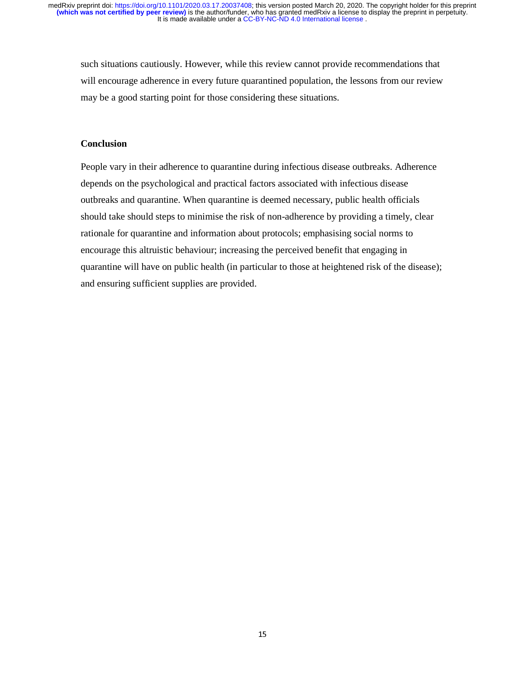such situations cautiously. However, while this review cannot provide recommendations that will encourage adherence in every future quarantined population, the lessons from our review may be a good starting point for those considering these situations.

# **Conclusion**

People vary in their adherence to quarantine during infectious disease outbreaks. Adherence depends on the psychological and practical factors associated with infectious disease outbreaks and quarantine. When quarantine is deemed necessary, public health officials should take should steps to minimise the risk of non-adherence by providing a timely, clear rationale for quarantine and information about protocols; emphasising social norms to encourage this altruistic behaviour; increasing the perceived benefit that engaging in quarantine will have on public health (in particular to those at heightened risk of the disease); and ensuring sufficient supplies are provided.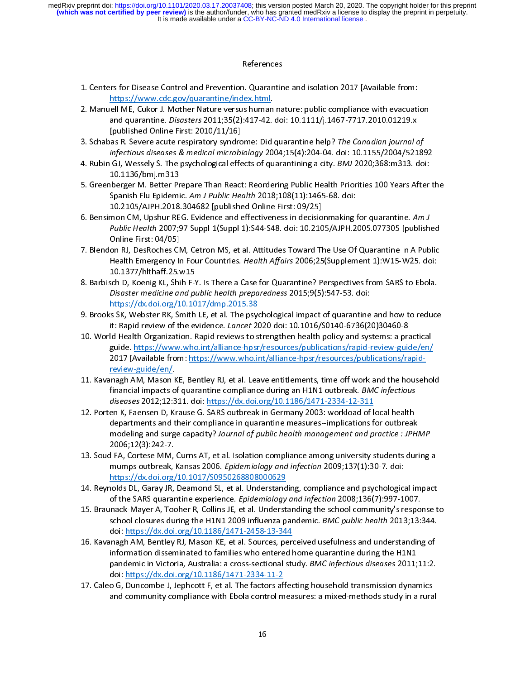#### References

- 
- 1. Centers for Disease Control and Prevention. Quarantine and isolation 2017 [Available from:<br>https://www.cdc.gov/quarantine/index.html.<br>2. Manuell ME, Cukor J. Mother Nature versus human nature: public compliance with eva י<br>1<br>גן https://www.cdc.gov/quarantine/index.html.<br>
2. Manuell ME, Cukor J. Mother Nature versus human nature: public compliance with evacuational quarantine. *Disasters* 2011;35(2):417-42. doi: 10.1111/j.1467-7717.2010.01219.x<br>
[ matrical ME, Cukor J. Mother Nature versus human<br>and quarantine. *Disasters* 2011;35(2):417-42.<br>[published Online First: 2010/11/16]<br>as R. Severe acute respiratory syndrome: Did infectious diseases & medical microbiology 2 and quarantine. *Disasters* 2011;35(2):417-42. doi: 10.1111/j.1467-7717.2010.01219.x<br>
[published Online First: 2010/11/16]<br>
3. Schabas R. Severe acute respiratory syndrome: Did quarantine help? The Canadian journal of<br> *i*
- 
- and quarantine. *Disasters 2011;35(2):417-42. doi: 10.1111/j.1467-7717.2010.01213.x*<br>[published Online First: 2010/11/16]<br>as R. Severe acute respiratory syndrome: Did quarantine help? *The Canadian journal cinfectious dise*
- as R. Severe acute respiratory syndro<br>infectious diseases & medical microbi<br>GJ, Wessely S. The psychological effe<br>10.1136/bmj.m313<br>berger M. Better Prepare Than React<br>Spanish Flu Epidemic. Am J Public Hea infectious diseases & medical microbiology 2004;15(4):204-04. doi: 10.1155/2004/521892<br>
4. Rubin GJ, Wessely S. The psychological effects of quarantining a city. *BMJ* 2020;368:m313. doi:<br>
10.1136/bmj.m313<br>
5. Greenberger infectious diseases & medical microbiology 2004;15(4):204-04. doi: 10.1155/2004/521892<br>
GJ, Wessely S. The psychological effects of quarantining a city. *BMJ* 2020;368:m313. doi:<br>
10.1136/bmj.m313<br>
Iberger M. Better Prepar 4. Rubin GJ, Wessely S. The psychological effects of quarantining a city. BMJ 2020,508:m313. doi:<br>
10.1136/bmj.m313<br>
5. Greenberger M. Better Prepare Than React: Reordering Public Health Priorities 100 Years After<br>
Spanish
- **There M. Better Property M. Better Property Spanish Flu Epidemi<br>10.2105/AJPH.2018<br>mon CM, Upshur RE<br>Public Health 2007;<br>Online First: 04/05]** Spanish Flu Epidemic. Am J Public Health 2018;108(11):1465-68. doi:<br>
10.2105/AJPH.2018.304682 [published Online First: 09/25]<br>
6. Bensimon CM, Upshur REG. Evidence and effectiveness in decision making for quarantine. Am J<br> Spanish Flu Epidemic: Am J Public Health 2016,108(11):1405-06: doi:<br>10.2105/AJPH.2018.304682 [published Online First: 09/25]<br>mon CM, Upshur REG. Evidence and effectiveness in decisionmaking<br>Public Health 2007;97 Suppl 1(Su mon CM, Upshur REG. Evidence and effectiveness in decisio<br>
Public Health 2007;97 Suppl 1(Suppl 1):S44-S48. doi: 10.21C<br>
Online First: 04/05]<br>
on RJ, DesRoches CM, Cetron MS, et al. Attitudes Toward TH<br>
Health Emergency In
- Fublic Health 2007;97 Suppl 1(Suppl 1):S44-S48. doi: 10.2105/AJPH.2005.077305 [publish-<br>
Online First: 04/05]<br>
7. Blendon RJ, DesRoches CM, Cetron MS, et al. Attitudes Toward The Use Of Quarantine In A Pub-<br>
Health Emergen Public Health 2007;37 Suppl 1(Suppl 1):S44-S48. doi: 10.2105/AJPH.2005.077305 [published<br>Online First: 04/05]<br>on RJ, DesRoches CM, Cetron MS, et al. Attitudes Toward The Use Of Quarantine In A Public<br>Health Emergency In Fo on RJ, DesRoches CM<br>Health Emergency II<br>10.1377/hlthaff.25.v<br>sch D, Koenig KL, Shi<br>*Disaster medicine an*<br>https://dx.doi.org/1
- Fraction Realth Affairs 2006;25(Supplement 1):W15-W25. doi:<br>
10.1377/hlthaff.25.w15<br>
8. Barbisch D, Koenig KL, Shih F-Y. Is There a Case for Quarantine? Perspectives from SARS to Ebola.<br>
Disaster medicine and public health Health Emergency Infour Countries. Health Affairs 2000,25(Supplement 1):W15-W25: doi:<br>10.1377/hlthaff.25.w15<br>sch D, Koenig KL, Shih F-Y. Is There a Case for Quarantine? Perspectives from SARS to Ebola.<br>Disaster medicine an Sch D, Koenig KL, Shih F-1<br>Disaster medicine and putters://dx.doi.org/10.10<br>Is SK, Webster RK, Smith<br>It: Rapid review of the evental Health Organization. F
- 8. Brooks SK, Webster RK, Smith LE, et al. The psychological impact of quarantine and how to reduce<br>8. Brooks SK, Webster RK, Smith LE, et al. The psychological impact of quarantine and how to reduce<br>10. World Health Organ
- Disaster medicine and public health preparedness 2015;9(5):547-55. doi:<br>https://dx.doi.org/10.1017/dmp.2015.38<br>is SK, Webster RK, Smith LE, et al. The psychological impact of quarantine<br>it: Rapid review of the evidence. *L* is SK, Webster RK, Smith LE, et al. The psycht:<br>it: Rapid review of the evidence. *Lancet* 20<br>Id Health Organization. Rapid reviews to s<br>guide. https://www.who.int/alliance-hpsr<br>2017 [Available from: https://www.who.in<br>rev 9. Brooks Stephen Rapid review of the evidence. *Lancet* 2020 doi: 10.1016/S0140-6736(20)30460-8<br>
9. Brooks Stephen Rapid reviews to strengthen health policy and systems: a practical<br>
guide. https://www.who.int/alliance-hp it: Rapid review of the evidence. *Lancet 2020* doi: 10.1016/30140-6736(20)30460-8<br>Id Health Organization. Rapid reviews to strengthen health policy and systems: a praguide. https://www.who.int/alliance-hpsr/resources/publ 11. Kavanagh AM, Mason KE, Bentley RJ, et al. Leave entitlements, time off work and the householications/rapid-<br>
11. Kavanagh AM, Mason KE, Bentley RJ, et al. Leave entitlements, time off work and the householinancial impa
- 2017 [Available from: https://www.who.int/alliance-hpsr/resources/publications/rapid-<br>review-guide/en/.<br>inagh AM, Mason KE, Bentley RJ, et al. Leave entitlements, time off work and the househol<br>financial impacts of quarant
- acparencies and encretainplance-in-quarancies-inteasures-implications for outbreak<br>modeling and enver conceiture from al of mublic hoalth memorgement and manations JBUM inagh AM, Mason K<br>financial impacts of<br>financial impacts of<br>diseases 2012;12:3<br>en K, Faensen D, Kr<br>departments and t<br>modeling and surg<br>2006:42(2):242.7 11. Antanagh AM, Massach Am, Massach Am, Massach Am, Massach AM, Massach AMC infectious<br>
diseases 2012;12:311. doi: https://dx.doi.org/10.1186/1471-2334-12-311<br>
12. Porten K, Faensen D, Krause G. SARS outbreak in Germany 2 diseases 2012;12:311. doi: https://dx.doi.org/10.1186/1471-2334-12-311<br>en K, Faensen D, Krause G. SARS outbreak in Germany 2003: workload of local health<br>departments and their compliance in quarantine measures--implication diseases 2012,12:311. doi: <u>Integral Actions, 10.1186/1471-2334-12-311</u><br>en K, Faensen D, Krause G. SARS outbreak in Germany 2003: workload of lice<br>departments and their compliance in quarantine measures--implications f<br>mod 12. Porten K, Faensen D, Krause G. SARS outbreak in Germany 2003: workload of local health<br>departments and their compliance in quarantine measures--implications for outbreak<br>modeling and surge capacity? *Journal of public*
- modeling and surge capacity? Journal of public health management and practice : JPHI<br>2006;12(3):242-7.<br>I FA, Cortese MM, Curns AT, et al. Isolation compliance among university students duri<br>mumps outbreak, Kansas 2006. *Ep* modeling and surge capacity? Journal of public health management and practice : J. HMM<br>2006;12(3):242-7.<br>I FA, Cortese MM, Curns AT, et al. Isolation compliance among university students during<br>mumps outbreak, Kansas 2006. 1 FA, Cortese MM,<br>mumps outbreak,<br>https://dx.doi.org/<br>nolds DL, Garay JR,<br>of the SARS quarar<br>nnack-Mayer A, Toc
- 
- mumps outbreak, Kansas 2006. *Epidemiology and infection* 2009;137(1):30-7. doi:<br>
https://dx.doi.org/10.1017/S0950268808000629<br>
14. Reynolds DL, Garay JR, Deamond SL, et al. Understanding, compliance and psychological impa mumps outbreak, Kansas 2000. *Epidemiology and infection* 2009;157(1):30-7. doi:<br>https://dx.doi.org/10.1017/S0950268808000629<br>iolds DL, Garay JR, Deamond SL, et al. Understanding, compliance and psychologica<br>of the SARS qu holds DL, Garay JR, Deamond SL, et al. Understand<br>of the SARS quarantine experience. *Epidemiology*<br>mack-Mayer A, Tooher R, Collins JE, et al. Underst<br>school closures during the H1N1 2009 influenza p<br>doi: https://dx.doi.or 14. Braunack-Mayer A, Tooher R, Collins JE, et al. Understanding the school community's response t<br>
14. Braunack-Mayer A, Tooher R, Collins JE, et al. Understanding the school community's response t<br>
14. School closures d
- of the SARS quarantine experience. Epidemiology and injection 2000,130(7):997-1007.<br>nack-Mayer A, Tooher R, Collins JE, et al. Understanding the school community's respo<br>school closures during the H1N1 2009 influenza pande 15. Braunack-Mayer A, Tooher R, Collins JE, et al. Understanding the school community's response to<br>school closures during the H1N1 2009 influenza pandemic. *BMC public health* 2013;13:344.<br>doi: https://dx.doi.org/10.1186 school closures during the H1N1 2009 inhuenza pandemic. *BMC public health* 2013;13:344.<br>doi: https://dx.doi.org/10.1186/1471-2458-13-344.<br>inagh AM, Bentley RJ, Mason KE, et al. Sources, perceived usefulness and understand magh AM, Bentley RJ, Mason KE, et al. Sources, perinformation disseminated to families who entered hypotemic in Victoria, Australia: a cross-sectional studio: https://dx.doi.org/10.1186/1471-2334-11-2<br>o G, Duncombe J, Jeph 16. Antanagh Am, 19. Kavadia, 19. Kavadia Am, 19. Kavadia American American American Am, 19. And information disseminated to families who entered home quarantine during the H1N1 pandemic in Victoria, Australia: a cross-sec pandemic in Victoria, Australia: a cross-sectional study. *BMC infectious diseases* 2011;<br>doi: <u>https://dx.doi.org/10.1186/1471-2334-11-2</u><br>o G, Duncombe J, Jephcott F, et al. The factors affecting household transmission dy
- pandemic in Victoria, Australia: a cross-sectional study. BMC infectious diseases 2011,11:2.<br>doi: https://dx.doi.org/10.1186/1471-2334-11-2<br>o G, Duncombe J, Jephcott F, et al. The factors affecting household transmission d do G, Duncombe J, Jephcott F, et al. The factors after<br>and community compliance with Ebola control m<br>16 and community compliance with Ebola control measures: a mixed-methods study in a rural<br>16 and community complements with Ebola control measures: a mixed-methods study in a rural<br>a mixed-method study in a rural control measures: a mixed-method study in a rural control measure of the study<br>in a rural control meas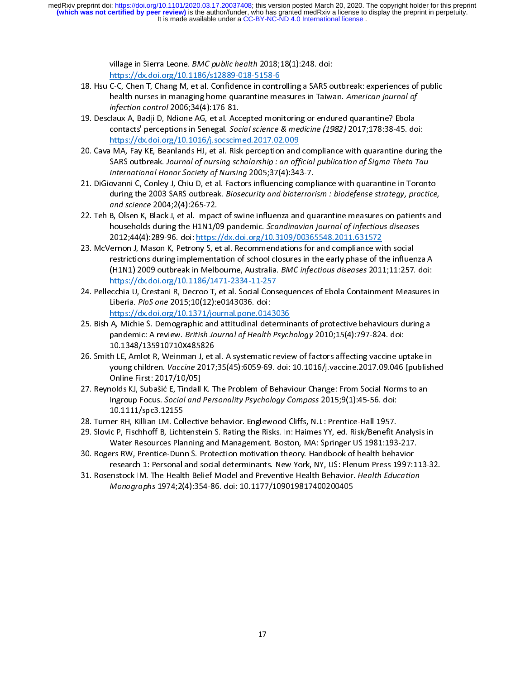- village in Sierra Leone. *BMC public health* 2010,10(1):248. doi.<br>https://dx.doi.org/10.1186/s12889-018-5158-6<br>C-C, Chen T, Chang M, et al. Confidence in controlling a SARS o<br>health nurses in managing home quarantine measu
- C-C, Chen T, Chang M, et al. Confidence in contr<br>health nurses in managing home quarantine me<br>*infection control* 2006;34(4):176-81.<br>claux A, Badji D, Ndione AG, et al. Accepted mon<br>contacts' perceptions in Senegal. *Socia* 18. https://dx.doi.org/10.1016/j.socscimed.2017.02.009<br>
20. Cava MA, Fay KE, Beanlands HJ, et al. Risk perception and compliance with quarantine?<br>
20. Cava MA, Fay KE, Beanlands HJ, et al. Risk perception and compliance wi infection control 2006;34(4):176-81.<br>
Ilaux A, Badji D, Ndione AG, et al. Accepted monitoring or endured quarantine? Ebola<br>
contacts' perceptions in Senegal. Social science & medicine (1982) 2017;178:38-45. do<br>
https://dx. infection control 2000, 34(4):176-81.<br>
Ilaux A, Badji D, Ndione AG, et al. Acc<br>
contacts' perceptions in Senegal. Soc<br>
https://dx.doi.org/10.1016/j.socscim<br>
MA, Fay KE, Beanlands HJ, et al. Risk<br>
SARS outbreak. Journal of
- 19. Described monitors in Senegal. Social science & medicine (1982) 2017;178:38-45. doi:<br>
https://dx.doi.org/10.1016/j.socscimed.2017.02.009<br>
20. Cava MA, Fay KE, Beanlands HJ, et al. Risk perception and compliance with qu
- MA, Fay KE, Beanlands HJ, et al. Risk perception and<br>SARS outbreak. Journal of nursing scholarship : an off<br>International Honor Society of Nursing 2005;37(4):34:<br>ovanni C, Conley J, Chiu D, et al. Factors influencing co<br>d 20. Teh B, Olsen K, Black J, et al. Impact of swine influenza and quarantine measures on patients and havenly and complete 2003 SARS outbreak. Biosecurity and bioterrorism : biodefense strategy, practice,<br>20. Teh B, Olsen SARS outbreak: Journal of nursing scholarship : an official publication of Jigma Theta Tau<br>International Honor Society of Nursing 2005;37(4):343-7.<br>ovanni C, Conley J, Chiu D, et al. Factors influencing compliance with qua International Honor Society of Nursing 2005;37(4):343-7.<br>
International Honor Society of Nursing 2005;37(4):343-7.<br>
International Science 2004;2(4):265-72.<br>
B, Olsen K, Black J, et al. Impact of swine influenza and qu<br>
hou
- during the 2003 SARS outbreak. *Biosecurity and bioterrorism : biodefense strategy, practice,*<br> *and science* 2004;2(4):265-72.<br>
22. Teh B, Olsen K, Black J, et al. Impact of swine influenza and quarantine measures on pati and science 2004;2(4):265-72.<br>
B, Olsen K, Black J, et al. Impact of swine influenza and quarantine measures on patients and<br>
households during the H1N1/09 pandemic. Scandinavian journal of infectious diseases<br>
2012;44(4):
- households during the H1N1/09 pandemic. *Scandinavian journal of infectious diseases*<br>2012;44(4):289-96. doi: <u>https://dx.doi.org/10.3109/00365548.2011.631572</u><br>ernon J, Mason K, Petrony S, et al. Recommendations for and co 22. Teh B, Olsen K, Black J, Olsen K, Black J, Carstonian D, D. Scandinavian in the and of infectious diseases<br>2012;44(4):289-96. doi: https://dx.doi.org/10.3109/00365548.2011.631572<br>23. McVernon J, Mason K, Petrony S, et households during the H1N1/09 pandemic. Scandinavian journal of infectious diseases<br>2012;44(4):289-96. doi: https://dx.doi.org/10.3109/00365548.2011.631572<br>ernon J, Mason K, Petrony S, et al. Recommendations for and compli ernon J, Mason K, Petrony S, et al. Recommendations for and compliance wi<br>restrictions during implementation of school closures in the early phase of the<br>(H1N1) 2009 outbreak in Melbourne, Australia. *BMC infectious diseas* restrictions during implementation of school closures in the early phase of the influer<br>
(H1N1) 2009 outbreak in Melbourne, Australia. *BMC infectious diseases* 2011;11:257.<br>
<u>https://dx.doi.org/10.1186/1471-2334-11-257</u><br>
- (H1N1) 2009 outbreak in Melbourne, Australia. *BMC infectious diseases* 2011;11:257. doi:<br>
https://dx.doi.org/10.1186/1471-2334-11-257<br>
ecchia U, Crestani R, Decroo T, et al. Social Consequences of Ebola Containment Measu (H1N1) 2009 outbreak in Menbourne, Australia. BMC impetrious diseases 2011,11:257. doi:<br>https://dx.doi.org/10.1186/1471-2334-11-257<br>ecchia U, Crestani R, Decroo T, et al. Social Consequences of Ebola Containment Measures i
- Liberia. *PloS one* 2015;10(12):e0143036. doi:<br>https://dx.doi.org/10.1371/journal.pone.0143036<br>25. Bish A, Michie S. Demographic and attitudinal determinants of protective behaviours during a<br>pandemic: A review. *British J* Liberia. PloS one 2015;10(12):e0143036. doi:<br>
https://dx.doi.org/10.1371/journal.pone.0143036<br>
25. Bish A, Michie S. Demographic and attitudinal determinants of protective behaviours during a<br>
pandemic: A review. *British* Liberia. *Pros one 2015;10(12):00143030: doi:*<br>https://dx.doi.org/10.1371/journal.pone.014.<br>A, Michie S. Demographic and attitudinal det<br>pandemic: A review. *British Journal of Health*<br>10.1348/135910710X485826<br>h LE, Amlot A, Michie S. Demographic and attitudinal determinoutions.<br>
pandemic: A review. *British Journal of Health Psych*<br>
10.1348/135910710X485826<br>
h LE, Amlot R, Weinman J, et al. A systematic revie<br>
young children. *Vaccine* 201
- pandemic: A review. *British Journal of Health Psychology* 2010;15(4):797-824. doi:<br>
10.1348/135910710X485826<br>
26. Smith LE, Amlot R, Weinman J, et al. A systematic review of factors affecting vaccine uptake in<br>
young chil pandemic: A review: British Journal of Health Psychology 2010;15(4):797-024. doi:<br>10.1348/135910710X485826<br>h LE, Amlot R, Weinman J, et al. A systematic review of factors affecting vaccine up<br>young children. *Vaccine* 2017 h LE, Amlot R, Weinman J, et a<br>young children. *Vaccine* 2017;<br>Online First: 2017/10/05]<br>nolds KJ, Subašić E, Tindall K. T<br>Ingroup Focus. *Social and Pers*<br>10.1111/spc3.12155
- 26. Simith Le, Caption 1914, Smith Letter American Conduct Present Conduct Press.<br>27. Reynolds KJ, Subašić E, Tindall K. The Problem of Behaviour Change: From Social Norms to an<br>27. Reynolds KJ, Subašić E, Tindall K. The P Online First: 2017/10/05]<br>27. Reynolds KJ, Subašić E, Tindall K. The Problem of Behaviour Change: From Social Norms to an<br>1ngroup Focus. Social and Personality Psychology Compass 2015;9(1):45-56. doi:<br>10.1111/spc3.12155<br>28 **Online First: 2017**<br> **Online First: 2018**<br> **Ingroup Focus. Social and<br>
10.1111/spc3.12155**<br> **Institute First: 2018**<br> **CP, Fischhoff B, Lichtenste<br>
Water Resources Planning** Ingroup Focus. Social and Personality Psychology Compass 2015;9(1):45-56. doi:<br>
10.1111/spc3.12155<br>
28. Turner RH, Killian LM. Collective behavior. Englewood Cliffs, N.J.: Prentice-Hall 1957.<br>
29. Slovic P, Fischhoff B, Li
- 
- 
- Ingroup Focus. Social and Personality Psychology Compass 2015;5(1):45-56. doi:<br>10.1111/spc3.12155<br>er RH, Killian LM. Collective behavior. Englewood Cliffs, N.J.: Prentice-Hall 1957.<br>c P, Fischhoff B, Lichtenstein S. Rating er RH, Killian LM. Col<br>c P, Fischhoff B, Licht<br>Water Resources Plan<br>ers RW, Prentice-Dun<br>research 1: Personal<br>enstock IM. The Healt 29. Slovic P, Fischhoff B, Lichtenstein S. Rating the Risks. In: Haimes YY, ed. Risk/Benefit A<br>Water Resources Planning and Management. Boston, MA: Springer US 1981:193<br>30. Rogers RW, Prentice-Dunn S. Protection motivation 2022. Water Resources Planning and Management. Boston, MA: Springer US 1981:193-217.<br>
20. Rogers RW, Prentice-Dunn S. Protection motivation theory. Handbook of health behavior<br>
research 1: Personal and social determinants. ers RW, Prentice-Dunn S. Protection motivation theory. Handbook of health behavior<br>research 1: Personal and social determinants. New York, NY, US: Plenum Press 1997:1:<br>Instock IM. The Health Belief Model and Preventive Hea
- research 1: Personal and social determinants. New York, NY, US: Plenum Press 1997:1<br>31. Rosenstock IM. The Health Belief Model and Preventive Health Behavior. *Health Educatio*<br>Monographs 1974;2(4):354-86. doi: 10.1177/109 research III. The Health Belief Model and Preventive Health Behavior. *Health Education*<br>Instock IM. The Health Belief Model and Preventive Health Behavior. *Health Education*<br>Monographs 1974;2(4):354-86. doi: 10.1177/1090 31. Rosenstock IMI. The Health Belief Model and Preventive Health Behavior. Health Education<br>Monographs 1974;2(4):354-86. doi: 10.1177/109019817400200405 Monographs 1974;2(4):354-86. doi: 10.1177/109019817400200405